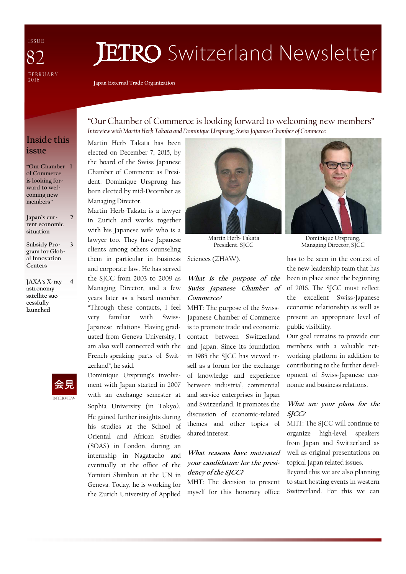I S S U E FEBRUARY  $2016$ 82

# **JETRO** Switzerland Newsletter

**Japan External Trade Organization** 

### **Inside this issue**

**"Our Chamber 1 of Commerce is looking forward to welcoming new members"** 

**Japan's current economic situation** 

 $\overline{\phantom{a}}$ 

**Subsidy Program for Global Innovation Centers 3** 

**JAXA's X-ray astronomy satellite successfully launched 4** 



"Our Chamber of Commerce is looking forward to welcoming new members" *Interview with Martin Herb Takata and Dominique Ursprung, Swiss Japanese Chamber of Commerce* 

Martin Herb Takata has been elected on December 7, 2015, by the board of the Swiss Japanese Chamber of Commerce as President. Dominique Ursprung has been elected by mid-December as Managing Director.

Martin Herb-Takata is a lawyer in Zurich and works together with his Japanese wife who is a lawyer too. They have Japanese clients among others counseling them in particular in business and corporate law. He has served the SJCC from 2003 to 2009 as Managing Director, and a few years later as a board member. "Through these contacts, I feel very familiar with Swiss-Japanese relations. Having graduated from Geneva University, I am also well connected with the French-speaking parts of Switzerland", he said.

Dominique Ursprung's involvement with Japan started in 2007 with an exchange semester at Sophia University (in Tokyo). He gained further insights during his studies at the School of Oriental and African Studies (SOAS) in London, during an internship in Nagatacho and eventually at the office of the Yomiuri Shimbun at the UN in Geneva. Today, he is working for the Zurich University of Applied



Martin Herb-Takata President, SJCC

Sciences (ZHAW).

### **What is the purpose of the Swiss Japanese Chamber of Commerce?**

MHT: The purpose of the Swiss-Japanese Chamber of Commerce is to promote trade and economic contact between Switzerland and Japan. Since its foundation in 1985 the SJCC has viewed itself as a forum for the exchange of knowledge and experience between industrial, commercial and service enterprises in Japan and Switzerland. It promotes the discussion of economic-related themes and other topics of shared interest.

### **What reasons have motivated your candidature for the presidency of the SJCC?**

MHT: The decision to present myself for this honorary office



Dominique Ursprung, Managing Director, SJCC

has to be seen in the context of the new leadership team that has been in place since the beginning of 2016. The SJCC must reflect the excellent Swiss-Japanese economic relationship as well as present an appropriate level of public visibility.

Our goal remains to provide our members with a valuable networking platform in addition to contributing to the further development of Swiss-Japanese economic and business relations.

### **What are your plans for the SJCC?**

MHT: The SJCC will continue to organize high-level speakers from Japan and Switzerland as well as original presentations on topical Japan related issues.

Beyond this we are also planning to start hosting events in western Switzerland. For this we can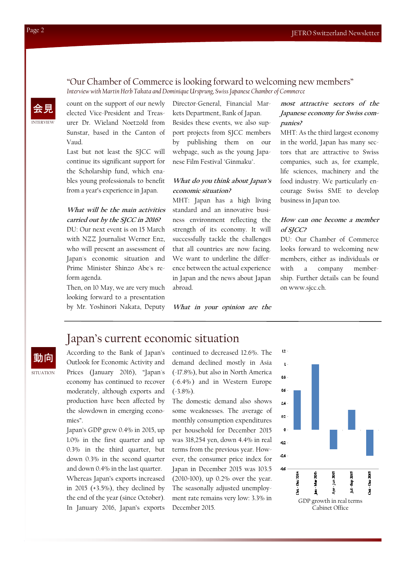# "Our Chamber of Commerce is looking forward to welcoming new members"

*Interview with Martin Herb Takata and Dominique Ursprung, Swiss Japanese Chamber of Commerce* 

INTERVIEW 会見 count on the support of our newly elected Vice-President and Treasurer Dr. Wieland Noetzold from Sunstar, based in the Canton of Vaud.

Last but not least the SJCC will continue its significant support for the Scholarship fund, which enables young professionals to benefit from a year's experience in Japan.

### **What will be the main activities carried out by the SJCC in 2016?**

DU: Our next event is on 15 March with NZZ Journalist Werner Enz, who will present an assessment of Japan's economic situation and Prime Minister Shinzo Abe's reform agenda.

Then, on 10 May, we are very much looking forward to a presentation by Mr. Yoshinori Nakata, Deputy

Director-General, Financial Markets Department, Bank of Japan. Besides these events, we also support projects from SJCC members by publishing them on our webpage, such as the young Japanese Film Festival "Ginmaku".

#### **What do you think about Japan's economic situation?**

MHT: Japan has a high living standard and an innovative business environment reflecting the strength of its economy. It will successfully tackle the challenges that all countries are now facing. We want to underline the difference between the actual experience in Japan and the news about Japan abroad.

**What in your opinion are the** 

### **most attractive sectors of the Japanese economy for Swiss companies?**

MHT: As the third largest economy in the world, Japan has many sectors that are attractive to Swiss companies, such as, for example, life sciences, machinery and the food industry. We particularly encourage Swiss SME to develop business in Japan too.

### **How can one become a member of SJCC?**

DU: Our Chamber of Commerce looks forward to welcoming new members, either as individuals or with a company membership. Further details can be found on www.sjcc.ch.

# Japan's current economic situation

動向

**SITUATION** 

According to the Bank of Japan's Outlook for Economic Activity and Prices (January 2016), "Japan's economy has continued to recover moderately, although exports and production have been affected by the slowdown in emerging economies".

Japan's GDP grew 0.4% in 2015, up 1.0% in the first quarter and up 0.3% in the third quarter, but down 0.3% in the second quarter and down 0.4% in the last quarter. Whereas Japan's exports increased in 2015 (+3.5%), they declined by the end of the year (since October). In January 2016, Japan's exports

continued to decreased 12.6%. The demand declined mostly in Asia (-17.8%), but also in North America  $(-6.4\%)$  and in Western Europe  $(-3.8\%)$ .

The domestic demand also shows some weaknesses. The average of monthly consumption expenditures per household for December 2015 was 318,254 yen, down 4.4% in real terms from the previous year. However, the consumer price index for Japan in December 2015 was 103.5 (2010=100), up 0.2% over the year. The seasonally adjusted unemployment rate remains very low: 3.3% in December 2015.

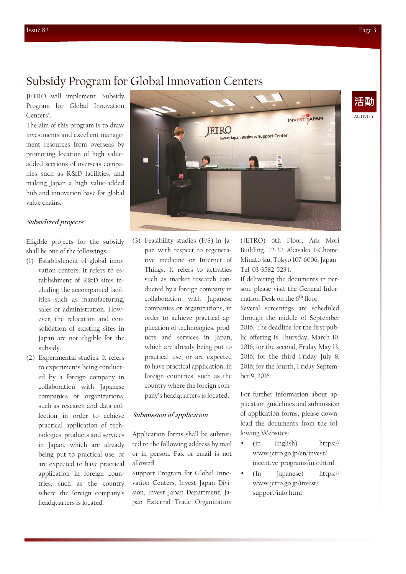# Subsidy Program for Global Innovation Centers

JETRO will implement "Subsidy Program for Global Innovation Centers".

The aim of this program is to draw investments and excellent management resources from overseas by promoting location of high valueadded sections of overseas companies such as R&D facilities, and making Japan a high value-added hub and innovation base for global value chains.

#### **Subsidized projects**

Eligible projects for the subsidy shall be one of the followings:

- (1) Establishment of global innovation centers. It refers to establishment of R&D sites including the accompanied facilities such as manufacturing, sales or administration. However, the relocation and consolidation of existing sites in Japan are not eligible for the subsidy.
- (2) Experimental studies. It refers to experiments being conducted by a foreign company in collaboration with Japanese companies or organizations, such as research and data collection in order to achieve practical application of technologies, products and services in Japan, which are already being put to practical use, or are expected to have practical application in foreign countries, such as the country where the foreign company's headquarters is located.



(3) Feasibility studies (F/S) in Japan with respect to regenerative medicine or Internet of Things. It refers to activities such as market research conducted by a foreign company in collaboration with Japanese companies or organizations, in order to achieve practical application of technologies, products and services in Japan, which are already being put to practical use, or are expected to have practical application, in foreign countries, such as the country where the foreign company's headquarters is located.

#### **Submission of application**

Application forms shall be submitted to the following address by mail or in person. Fax or email is not allowed.

Support Program for Global Innovation Centers, Invest Japan Division, Invest Japan Department, Japan External Trade Organization

(JETRO) 6th Floor, Ark Mori Building, 12-32 Akasaka 1-Chome, Minato-ku, Tokyo 107-6006, Japan Tel: 03-3582-5234.

If delivering the documents in person, please visit the General Information Desk on the  $6<sup>th</sup>$  floor.

Several screenings are scheduled through the middle of September 2016. The deadline for the first public offering is Thursday, March 10, 2016; for the second, Friday May 13, 2016; for the third Friday July 8, 2016; for the fourth, Friday September 9, 2016.

For further information about application guidelines and submission of application forms, please download the documents from the following Websites:

- (in English) https:// www.jetro.go.jp/en/invest/ incentive\_programs/info.html
- (In Japanese) https:// www.jetro.go.jp/invest/ support/info.html